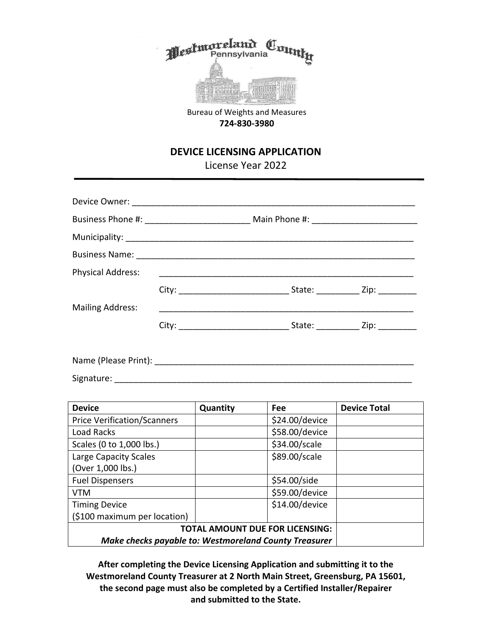

Bureau of Weights and Measures **724-830-3980**

## **DEVICE LICENSING APPLICATION**

License Year 2022

| <b>Physical Address:</b> |  |                                      |
|--------------------------|--|--------------------------------------|
|                          |  |                                      |
| <b>Mailing Address:</b>  |  |                                      |
|                          |  | State: _____________ Zip: __________ |
|                          |  |                                      |

Name (Please Print): \_\_\_\_\_\_\_\_\_\_\_\_\_\_\_\_\_\_\_\_\_\_\_\_\_\_\_\_\_\_\_\_\_\_\_\_\_\_\_\_\_\_\_\_\_\_\_\_\_\_\_\_\_\_ Signature: \_\_\_\_\_\_\_\_\_\_\_\_\_\_\_\_\_\_\_\_\_\_\_\_\_\_\_\_\_\_\_\_\_\_\_\_\_\_\_\_\_\_\_\_\_\_\_\_\_\_\_\_\_\_\_\_\_\_\_\_\_\_

| <b>Device</b>                                                | Quantity | Fee            | <b>Device Total</b> |
|--------------------------------------------------------------|----------|----------------|---------------------|
| <b>Price Verification/Scanners</b>                           |          | \$24.00/device |                     |
| Load Racks                                                   |          | \$58.00/device |                     |
| Scales (0 to 1,000 lbs.)                                     |          | \$34.00/scale  |                     |
| Large Capacity Scales                                        |          | \$89.00/scale  |                     |
| (Over 1,000 lbs.)                                            |          |                |                     |
| <b>Fuel Dispensers</b>                                       |          | \$54.00/side   |                     |
| <b>VTM</b>                                                   |          | \$59.00/device |                     |
| <b>Timing Device</b>                                         |          | \$14.00/device |                     |
| (\$100 maximum per location)                                 |          |                |                     |
| <b>TOTAL AMOUNT DUE FOR LICENSING:</b>                       |          |                |                     |
| <b>Make checks payable to: Westmoreland County Treasurer</b> |          |                |                     |

**After completing the Device Licensing Application and submitting it to the Westmoreland County Treasurer at 2 North Main Street, Greensburg, PA 15601, the second page must also be completed by a Certified Installer/Repairer and submitted to the State.**